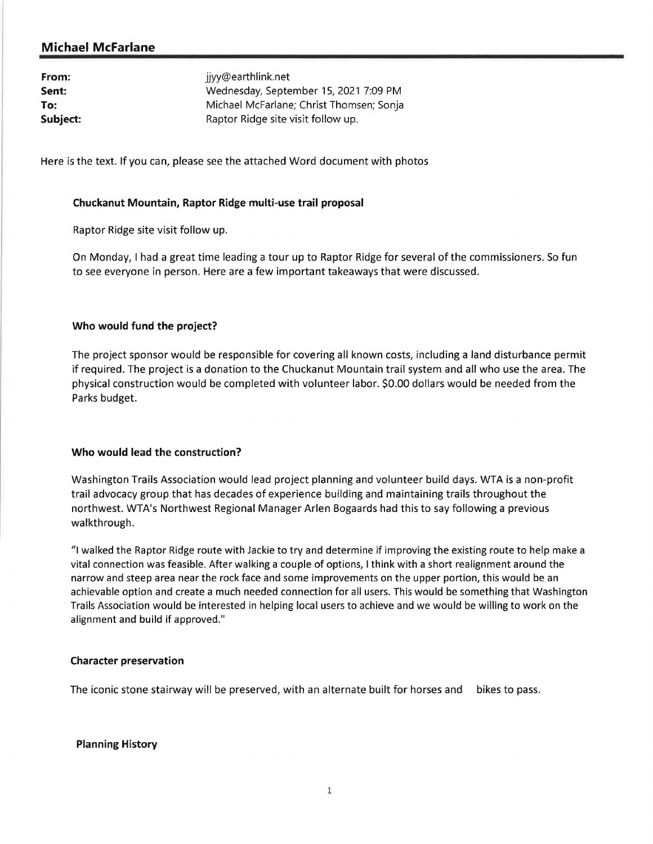# **Michael Mcfarlane**

| From:    | jjyy@earthlink.net                       |
|----------|------------------------------------------|
| Sent:    | Wednesday, September 15, 2021 7:09 PM    |
| To:      | Michael McFarlane; Christ Thomsen; Sonja |
| Subject: | Raptor Ridge site visit follow up.       |

Here is the text. If you can, please see the attached Word document with photos

## **Chuckanut Mountain, Raptor Ridge multi-use trail proposal**

Raptor Ridge site visit follow up.

On Monday, I had a great time leading a tour up to Raptor Ridge for several of the commissioners. So fun to see everyone in person. Here are a few important takeaways that were discussed.

## **Who would fund the project?**

The project sponsor would be responsible for covering all known costs, including a land disturbance permit if required. The project is a donation to the Chuckanut Mountain trail system and all who use the area. The physical construction would be completed with volunteer labor. \$0.00 dollars would be needed from the Parks budget.

# **Who would lead the construction?**

Washington Trails Association would lead project planning and volunteer build days. WTA is a non-profit trail advocacy group that has decades of experience building and maintaining trails throughout the northwest. WTA's Northwest Regional Manager Arlen Bogaards had this to say following a previous walkthrough.

"I walked the Raptor Ridge route with Jackie to try and determine if improving the existing route to help make a vital connection was feasible. After walking a couple of options, I think with a short realignment around the narrow and steep area near the rock face and some improvements on the upper portion, this would be an achievable option and create a much needed connection for all users. This would be something that Washington Trails Association would be interested in helping local users to achieve and we would be willing to work on the alignment and build if approved."

#### **Character preservation**

The iconic stone stairway will be preserved, with an alternate built for horses and bikes to pass.

#### **Planning History**